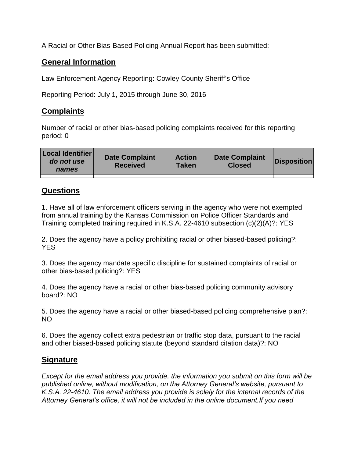A Racial or Other Bias-Based Policing Annual Report has been submitted:

## **General Information**

Law Enforcement Agency Reporting: Cowley County Sheriff's Office

Reporting Period: July 1, 2015 through June 30, 2016

## **Complaints**

Number of racial or other bias-based policing complaints received for this reporting period: 0

| <b>Local Identifier</b><br>do not use<br>names | <b>Date Complaint</b><br><b>Received</b> | <b>Action</b><br><b>Taken</b> | <b>Date Complaint</b><br><b>Closed</b> | Disposition |
|------------------------------------------------|------------------------------------------|-------------------------------|----------------------------------------|-------------|
|                                                |                                          |                               |                                        |             |

## **Questions**

1. Have all of law enforcement officers serving in the agency who were not exempted from annual training by the Kansas Commission on Police Officer Standards and Training completed training required in K.S.A. 22-4610 subsection (c)(2)(A)?: YES

2. Does the agency have a policy prohibiting racial or other biased-based policing?: YES

3. Does the agency mandate specific discipline for sustained complaints of racial or other bias-based policing?: YES

4. Does the agency have a racial or other bias-based policing community advisory board?: NO

5. Does the agency have a racial or other biased-based policing comprehensive plan?: NO

6. Does the agency collect extra pedestrian or traffic stop data, pursuant to the racial and other biased-based policing statute (beyond standard citation data)?: NO

## **Signature**

*Except for the email address you provide, the information you submit on this form will be published online, without modification, on the Attorney General's website, pursuant to K.S.A. 22-4610. The email address you provide is solely for the internal records of the Attorney General's office, it will not be included in the online document.If you need*